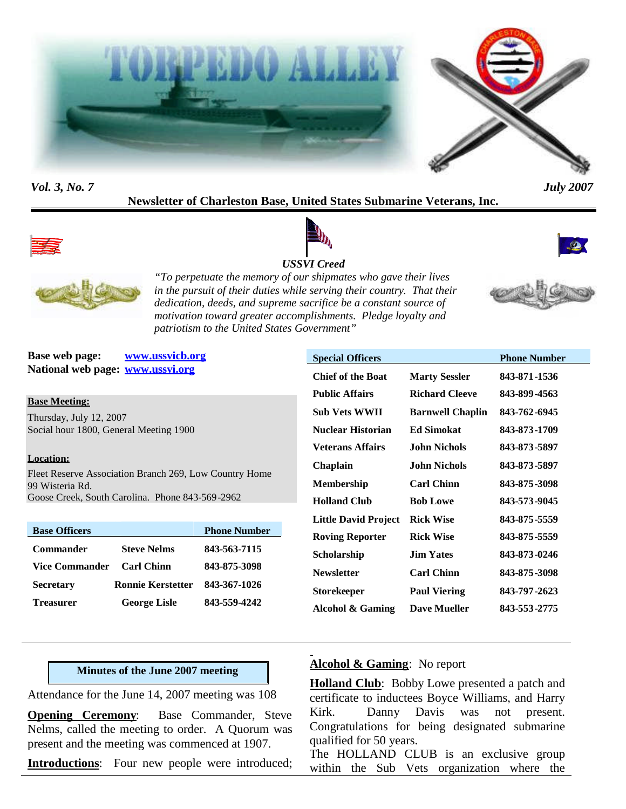



## **Newsletter of Charleston Base, United States Submarine Veterans, Inc.**



## *USSVI Creed*





*"To perpetuate the memory of our shipmates who gave their lives in the pursuit of their duties while serving their country. That their dedication, deeds, and supreme sacrifice be a constant source of motivation toward greater accomplishments. Pledge loyalty and patriotism to the United States Government"*

**Base web page: www.ussvicb.org National web page: www.ussvi.org**

**Base Meeting:**

Thursday, July 12, 2007 Social hour 1800, General Meeting 1900

#### **Location:**

Fleet Reserve Association Branch 269, Low Country Home 99 Wisteria Rd. Goose Creek, South Carolina. Phone 843-569-2962

| <b>Base Officers</b>  |                          | <b>Phone Number</b> |
|-----------------------|--------------------------|---------------------|
| <b>Commander</b>      | <b>Steve Nelms</b>       | 843-563-7115        |
| <b>Vice Commander</b> | <b>Carl Chinn</b>        | 843-875-3098        |
| <b>Secretary</b>      | <b>Ronnie Kerstetter</b> | 843-367-1026        |
| <b>Treasurer</b>      | <b>George Lisle</b>      | 843-559-4242        |

|                         | <b>Phone Number</b> |
|-------------------------|---------------------|
| <b>Marty Sessler</b>    | 843-871-1536        |
| Richard Cleeve          | 843-899-4563        |
| <b>Barnwell Chaplin</b> | 843-762-6945        |
| <b>Ed Simokat</b>       | 843-873-1709        |
| John Nichols            | 843-873-5897        |
| John Nichols.           | 843-873-5897        |
| <b>Carl Chinn</b>       | 843-875-3098        |
| <b>Bob Lowe</b>         | 843-573-9045        |
| <b>Rick Wise</b>        | 843-875-5559        |
| <b>Rick Wise</b>        | 843-875-5559        |
| <b>Jim Yates</b>        | 843-873-0246        |
| <b>Carl Chinn</b>       | 843-875-3098        |
| <b>Paul Viering</b>     | 843-797-2623        |
| <b>Dave Mueller</b>     | 843-553-2775        |
|                         |                     |

#### **Minutes of the June 2007 meeting**

Attendance for the June 14, 2007 meeting was 108

**Opening Ceremony:** Base Commander, Steve Nelms, called the meeting to order. A Quorum was present and the meeting was commenced at 1907.

**Introductions:** Four new people were introduced;

## **Alcohol & Gaming**: No report

**Holland Club**: Bobby Lowe presented a patch and certificate to inductees Boyce Williams, and Harry Kirk. Danny Davis was not present. Congratulations for being designated submarine qualified for 50 years.

The HOLLAND CLUB is an exclusive group within the Sub Vets organization where the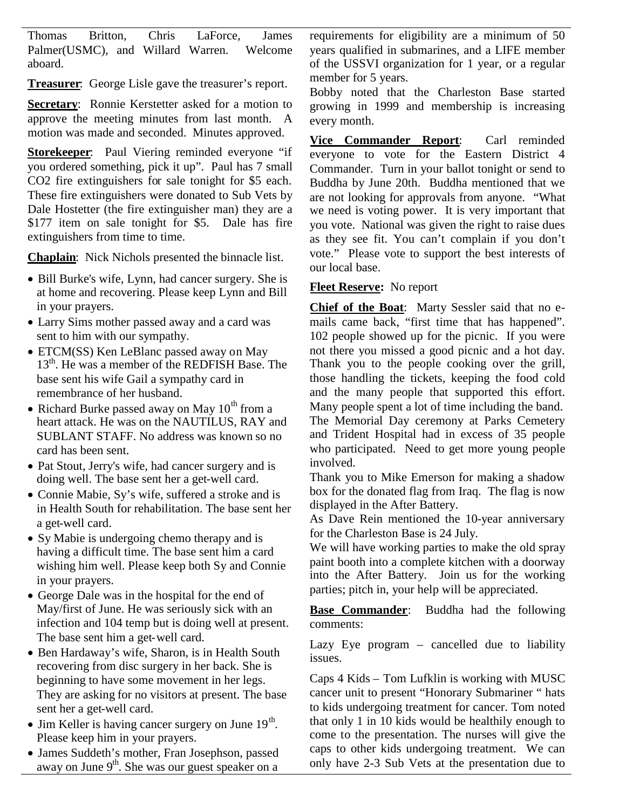Thomas Britton, Chris LaForce, James Palmer(USMC), and Willard Warren. Welcome aboard.

**Treasurer**: George Lisle gave the treasurer's report.

**Secretary:** Ronnie Kerstetter asked for a motion to approve the meeting minutes from last month. A motion was made and seconded. Minutes approved.

**Storekeeper**: Paul Viering reminded everyone "if you ordered something, pick it up". Paul has 7 small CO2 fire extinguishers for sale tonight for \$5 each. These fire extinguishers were donated to Sub Vets by Dale Hostetter (the fire extinguisher man) they are a \$177 item on sale tonight for \$5. Dale has fire extinguishers from time to time.

**Chaplain**: Nick Nichols presented the binnacle list.

- Bill Burke's wife, Lynn, had cancer surgery. She is at home and recovering. Please keep Lynn and Bill in your prayers.
- Larry Sims mother passed away and a card was sent to him with our sympathy.
- ETCM(SS) Ken LeBlanc passed away on May 13<sup>th</sup>. He was a member of the REDFISH Base. The base sent his wife Gail a sympathy card in remembrance of her husband.
- Richard Burke passed away on May  $10^{th}$  from a heart attack. He was on the NAUTILUS, RAY and SUBLANT STAFF. No address was known so no card has been sent.
- Pat Stout, Jerry's wife, had cancer surgery and is doing well. The base sent her a get-well card.
- Connie Mabie, Sy's wife, suffered a stroke and is in Health South for rehabilitation. The base sent her a get-well card.
- Sy Mabie is undergoing chemo therapy and is having a difficult time. The base sent him a card wishing him well. Please keep both Sy and Connie in your prayers.
- George Dale was in the hospital for the end of May/first of June. He was seriously sick with an infection and 104 temp but is doing well at present. The base sent him a get-well card.
- Ben Hardaway's wife, Sharon, is in Health South recovering from disc surgery in her back. She is beginning to have some movement in her legs. They are asking for no visitors at present. The base sent her a get-well card.
- Jim Keller is having cancer surgery on June  $19<sup>th</sup>$ . Please keep him in your prayers.
- James Suddeth's mother, Fran Josephson, passed away on June  $9<sup>th</sup>$ . She was our guest speaker on a

requirements for eligibility are a minimum of 50 years qualified in submarines, and a LIFE member of the USSVI organization for 1 year, or a regular member for 5 years.

Bobby noted that the Charleston Base started growing in 1999 and membership is increasing every month.

**Vice Commander Report**: Carl reminded everyone to vote for the Eastern District 4 Commander. Turn in your ballot tonight or send to Buddha by June 20th. Buddha mentioned that we are not looking for approvals from anyone. "What we need is voting power. It is very important that you vote. National was given the right to raise dues as they see fit. You can't complain if you don't vote." Please vote to support the best interests of our local base.

## **Fleet Reserve:** No report

**Chief of the Boat**: Marty Sessler said that no emails came back, "first time that has happened". 102 people showed up for the picnic. If you were not there you missed a good picnic and a hot day. Thank you to the people cooking over the grill, those handling the tickets, keeping the food cold and the many people that supported this effort. Many people spent a lot of time including the band. The Memorial Day ceremony at Parks Cemetery and Trident Hospital had in excess of 35 people who participated. Need to get more young people involved.

Thank you to Mike Emerson for making a shadow box for the donated flag from Iraq. The flag is now displayed in the After Battery.

As Dave Rein mentioned the 10-year anniversary for the Charleston Base is 24 July.

We will have working parties to make the old spray paint booth into a complete kitchen with a doorway into the After Battery. Join us for the working parties; pitch in, your help will be appreciated.

**Base Commander**: Buddha had the following comments:

Lazy Eye program – cancelled due to liability issues.

Caps 4 Kids – Tom Lufklin is working with MUSC cancer unit to present "Honorary Submariner " hats to kids undergoing treatment for cancer. Tom noted that only 1 in 10 kids would be healthily enough to come to the presentation. The nurses will give the caps to other kids undergoing treatment. We can only have 2-3 Sub Vets at the presentation due to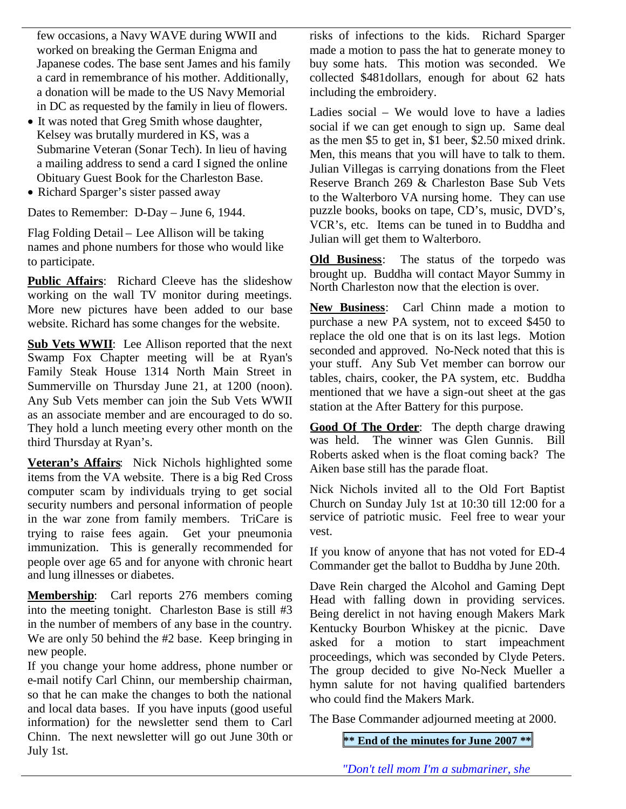few occasions, a Navy WAVE during WWII and worked on breaking the German Enigma and Japanese codes. The base sent James and his family a card in remembrance of his mother. Additionally, a donation will be made to the US Navy Memorial in DC as requested by the family in lieu of flowers.

- It was noted that Greg Smith whose daughter, Kelsey was brutally murdered in KS, was a Submarine Veteran (Sonar Tech). In lieu of having a mailing address to send a card I signed the online Obituary Guest Book for the Charleston Base.
- Richard Sparger's sister passed away

Dates to Remember: D-Day – June 6, 1944.

Flag Folding Detail – Lee Allison will be taking names and phone numbers for those who would like to participate.

**Public Affairs**: Richard Cleeve has the slideshow working on the wall TV monitor during meetings. More new pictures have been added to our base website. Richard has some changes for the website.

**Sub Vets WWII**: Lee Allison reported that the next Swamp Fox Chapter meeting will be at Ryan's Family Steak House 1314 North Main Street in Summerville on Thursday June 21, at 1200 (noon). Any Sub Vets member can join the Sub Vets WWII as an associate member and are encouraged to do so. They hold a lunch meeting every other month on the third Thursday at Ryan's.

**Veteran's Affairs**: Nick Nichols highlighted some items from the VA website. There is a big Red Cross computer scam by individuals trying to get social security numbers and personal information of people in the war zone from family members. TriCare is trying to raise fees again. Get your pneumonia immunization. This is generally recommended for people over age 65 and for anyone with chronic heart and lung illnesses or diabetes.

**Membership**: Carl reports 276 members coming into the meeting tonight. Charleston Base is still #3 in the number of members of any base in the country. We are only 50 behind the #2 base. Keep bringing in new people.

If you change your home address, phone number or e-mail notify Carl Chinn, our membership chairman, so that he can make the changes to both the national and local data bases. If you have inputs (good useful information) for the newsletter send them to Carl Chinn. The next newsletter will go out June 30th or July 1st.

risks of infections to the kids. Richard Sparger made a motion to pass the hat to generate money to buy some hats. This motion was seconded. We collected \$481dollars, enough for about 62 hats including the embroidery.

Ladies social – We would love to have a ladies social if we can get enough to sign up. Same deal as the men \$5 to get in, \$1 beer, \$2.50 mixed drink. Men, this means that you will have to talk to them. Julian Villegas is carrying donations from the Fleet Reserve Branch 269 & Charleston Base Sub Vets to the Walterboro VA nursing home. They can use puzzle books, books on tape, CD's, music, DVD's, VCR's, etc. Items can be tuned in to Buddha and Julian will get them to Walterboro.

**Old Business**: The status of the torpedo was brought up. Buddha will contact Mayor Summy in North Charleston now that the election is over.

**New Business**: Carl Chinn made a motion to purchase a new PA system, not to exceed \$450 to replace the old one that is on its last legs. Motion seconded and approved. No-Neck noted that this is your stuff. Any Sub Vet member can borrow our tables, chairs, cooker, the PA system, etc. Buddha mentioned that we have a sign-out sheet at the gas station at the After Battery for this purpose.

**Good Of The Order**: The depth charge drawing was held. The winner was Glen Gunnis. Bill Roberts asked when is the float coming back? The Aiken base still has the parade float.

Nick Nichols invited all to the Old Fort Baptist Church on Sunday July 1st at 10:30 till 12:00 for a service of patriotic music. Feel free to wear your vest.

If you know of anyone that has not voted for ED-4 Commander get the ballot to Buddha by June 20th.

Dave Rein charged the Alcohol and Gaming Dept Head with falling down in providing services. Being derelict in not having enough Makers Mark Kentucky Bourbon Whiskey at the picnic. Dave asked for a motion to start impeachment proceedings, which was seconded by Clyde Peters. The group decided to give No-Neck Mueller a hymn salute for not having qualified bartenders who could find the Makers Mark.

The Base Commander adjourned meeting at 2000.

**\*\* End of the minutes for June 2007 \*\***

*"Don't tell mom I'm a submariner, she*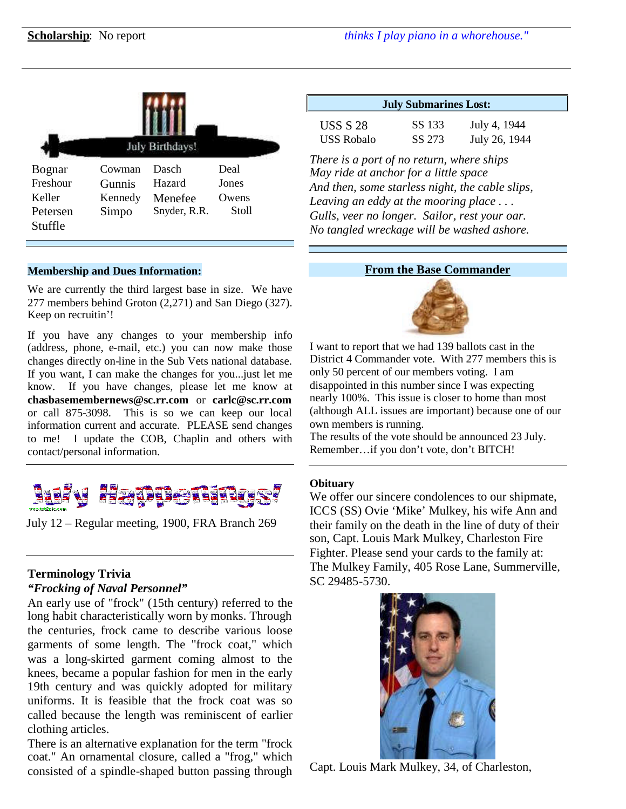| <b>July Birthdays!</b>                              |                                      |                                            |                                 |  |  |
|-----------------------------------------------------|--------------------------------------|--------------------------------------------|---------------------------------|--|--|
| Bognar<br>Freshour<br>Keller<br>Petersen<br>Stuffle | Cowman<br>Gunnis<br>Kennedy<br>Simpo | Dasch<br>Hazard<br>Menefee<br>Snyder, R.R. | Deal<br>Jones<br>Owens<br>Stoll |  |  |

#### **Membership and Dues Information:**

We are currently the third largest base in size. We have 277 members behind Groton (2,271) and San Diego (327). Keep on recruitin'!

If you have any changes to your membership info (address, phone, e-mail, etc.) you can now make those changes directly on-line in the Sub Vets national database. If you want, I can make the changes for you...just let me know. If you have changes, please let me know at **chasbasemembernews@sc.rr.com** or **carlc@sc.rr.com** or call 875-3098. This is so we can keep our local information current and accurate. PLEASE send changes to me! I update the COB, Chaplin and others with contact/personal information.



July 12 – Regular meeting, 1900, FRA Branch 269

# **Terminology Trivia**

*"Frocking of Naval Personnel"*

An early use of "frock" (15th century) referred to the long habit characteristically worn by monks. Through the centuries, frock came to describe various loose garments of some length. The "frock coat," which was a long-skirted garment coming almost to the knees, became a popular fashion for men in the early 19th century and was quickly adopted for military uniforms. It is feasible that the frock coat was so called because the length was reminiscent of earlier clothing articles.

There is an alternative explanation for the term "frock coat." An ornamental closure, called a "frog," which consisted of a spindle-shaped button passing through

| <b>July Submarines Lost:</b>                                                                                                          |               |  |  |  |  |
|---------------------------------------------------------------------------------------------------------------------------------------|---------------|--|--|--|--|
| SS 133                                                                                                                                | July 4, 1944  |  |  |  |  |
| SS 273                                                                                                                                | July 26, 1944 |  |  |  |  |
| There is a port of no return, where ships<br>May ride at anchor for a little space<br>And then, some starless night, the cable slips, |               |  |  |  |  |
|                                                                                                                                       |               |  |  |  |  |

*Leaving an eddy at the mooring place . . . Gulls, veer no longer. Sailor, rest your oar. No tangled wreckage will be washed ashore.*

#### **From the Base Commander**



I want to report that we had 139 ballots cast in the District 4 Commander vote. With 277 members this is only 50 percent of our members voting. I am disappointed in this number since I was expecting nearly 100%. This issue is closer to home than most (although ALL issues are important) because one of our own members is running.

The results of the vote should be announced 23 July. Remember…if you don't vote, don't BITCH!

#### **Obituary**

We offer our sincere condolences to our shipmate, ICCS (SS) Ovie 'Mike' Mulkey, his wife Ann and their family on the death in the line of duty of their son, Capt. Louis Mark Mulkey, Charleston Fire Fighter. Please send your cards to the family at: The Mulkey Family, 405 Rose Lane, Summerville, SC 29485-5730.



Capt. Louis Mark Mulkey, 34, of Charleston,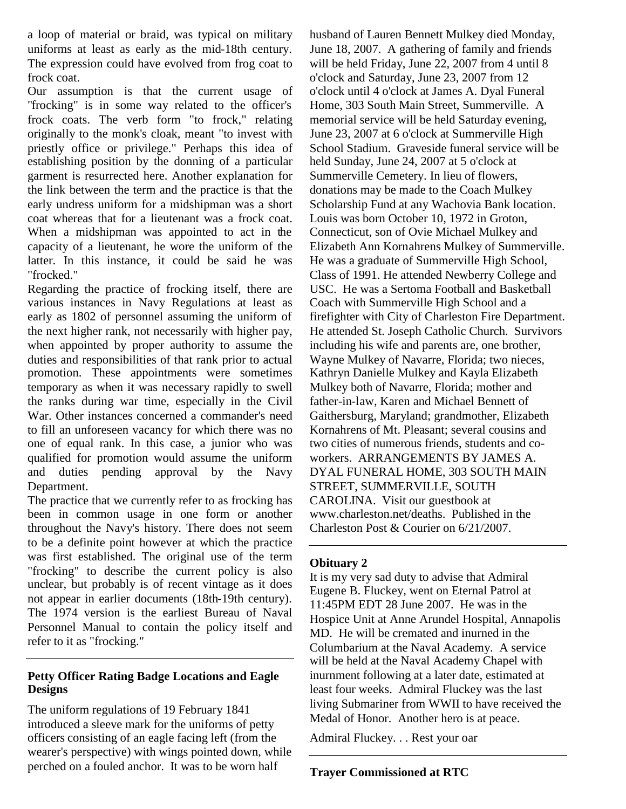a loop of material or braid, was typical on military uniforms at least as early as the mid-18th century. The expression could have evolved from frog coat to frock coat.

Our assumption is that the current usage of "frocking" is in some way related to the officer's frock coats. The verb form "to frock," relating originally to the monk's cloak, meant "to invest with priestly office or privilege." Perhaps this idea of establishing position by the donning of a particular garment is resurrected here. Another explanation for the link between the term and the practice is that the early undress uniform for a midshipman was a short coat whereas that for a lieutenant was a frock coat. When a midshipman was appointed to act in the capacity of a lieutenant, he wore the uniform of the latter. In this instance, it could be said he was "frocked."

Regarding the practice of frocking itself, there are various instances in Navy Regulations at least as early as 1802 of personnel assuming the uniform of the next higher rank, not necessarily with higher pay, when appointed by proper authority to assume the duties and responsibilities of that rank prior to actual promotion. These appointments were sometimes temporary as when it was necessary rapidly to swell the ranks during war time, especially in the Civil War. Other instances concerned a commander's need to fill an unforeseen vacancy for which there was no one of equal rank. In this case, a junior who was qualified for promotion would assume the uniform and duties pending approval by the Navy Department.

The practice that we currently refer to as frocking has been in common usage in one form or another throughout the Navy's history. There does not seem to be a definite point however at which the practice was first established. The original use of the term "frocking" to describe the current policy is also unclear, but probably is of recent vintage as it does not appear in earlier documents (18th-19th century). The 1974 version is the earliest Bureau of Naval Personnel Manual to contain the policy itself and refer to it as "frocking."

#### **Petty Officer Rating Badge Locations and Eagle Designs**

The uniform regulations of 19 February 1841 introduced a sleeve mark for the uniforms of petty officers consisting of an eagle facing left (from the wearer's perspective) with wings pointed down, while perched on a fouled anchor. It was to be worn half

husband of Lauren Bennett Mulkey died Monday, June 18, 2007. A gathering of family and friends will be held Friday, June 22, 2007 from 4 until 8 o'clock and Saturday, June 23, 2007 from 12 o'clock until 4 o'clock at James A. Dyal Funeral Home, 303 South Main Street, Summerville. A memorial service will be held Saturday evening, June 23, 2007 at 6 o'clock at Summerville High School Stadium. Graveside funeral service will be held Sunday, June 24, 2007 at 5 o'clock at Summerville Cemetery. In lieu of flowers, donations may be made to the Coach Mulkey Scholarship Fund at any Wachovia Bank location. Louis was born October 10, 1972 in Groton, Connecticut, son of Ovie Michael Mulkey and Elizabeth Ann Kornahrens Mulkey of Summerville. He was a graduate of Summerville High School, Class of 1991. He attended Newberry College and USC. He was a Sertoma Football and Basketball Coach with Summerville High School and a firefighter with City of Charleston Fire Department. He attended St. Joseph Catholic Church. Survivors including his wife and parents are, one brother, Wayne Mulkey of Navarre, Florida; two nieces, Kathryn Danielle Mulkey and Kayla Elizabeth Mulkey both of Navarre, Florida; mother and father-in-law, Karen and Michael Bennett of Gaithersburg, Maryland; grandmother, Elizabeth Kornahrens of Mt. Pleasant; several cousins and two cities of numerous friends, students and coworkers. ARRANGEMENTS BY JAMES A. DYAL FUNERAL HOME, 303 SOUTH MAIN STREET, SUMMERVILLE, SOUTH CAROLINA. Visit our guestbook at www.charleston.net/deaths. Published in the Charleston Post & Courier on 6/21/2007.

## **Obituary 2**

It is my very sad duty to advise that Admiral Eugene B. Fluckey, went on Eternal Patrol at 11:45PM EDT 28 June 2007. He was in the Hospice Unit at Anne Arundel Hospital, Annapolis MD. He will be cremated and inurned in the Columbarium at the Naval Academy. A service will be held at the Naval Academy Chapel with inurnment following at a later date, estimated at least four weeks. Admiral Fluckey was the last living Submariner from WWII to have received the Medal of Honor. Another hero is at peace.

Admiral Fluckey. . . Rest your oar

**Trayer Commissioned at RTC**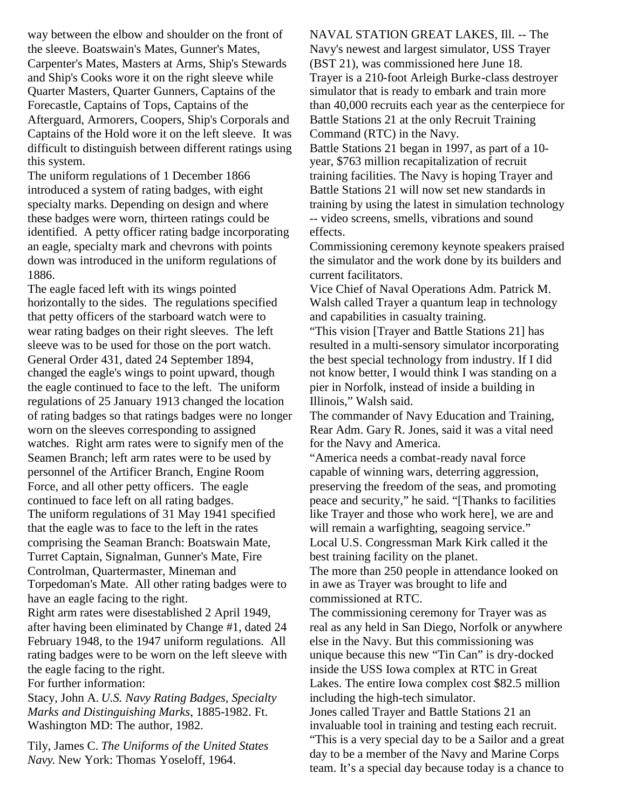way between the elbow and shoulder on the front of the sleeve. Boatswain's Mates, Gunner's Mates, Carpenter's Mates, Masters at Arms, Ship's Stewards and Ship's Cooks wore it on the right sleeve while Quarter Masters, Quarter Gunners, Captains of the Forecastle, Captains of Tops, Captains of the Afterguard, Armorers, Coopers, Ship's Corporals and Captains of the Hold wore it on the left sleeve. It was difficult to distinguish between different ratings using this system.

The uniform regulations of 1 December 1866 introduced a system of rating badges, with eight specialty marks. Depending on design and where these badges were worn, thirteen ratings could be identified. A petty officer rating badge incorporating an eagle, specialty mark and chevrons with points down was introduced in the uniform regulations of 1886.

The eagle faced left with its wings pointed horizontally to the sides. The regulations specified that petty officers of the starboard watch were to wear rating badges on their right sleeves. The left sleeve was to be used for those on the port watch. General Order 431, dated 24 September 1894, changed the eagle's wings to point upward, though the eagle continued to face to the left. The uniform regulations of 25 January 1913 changed the location of rating badges so that ratings badges were no longer worn on the sleeves corresponding to assigned watches. Right arm rates were to signify men of the Seamen Branch; left arm rates were to be used by personnel of the Artificer Branch, Engine Room Force, and all other petty officers. The eagle continued to face left on all rating badges. The uniform regulations of 31 May 1941 specified that the eagle was to face to the left in the rates comprising the Seaman Branch: Boatswain Mate, Turret Captain, Signalman, Gunner's Mate, Fire Controlman, Quartermaster, Mineman and Torpedoman's Mate. All other rating badges were to have an eagle facing to the right.

Right arm rates were disestablished 2 April 1949, after having been eliminated by Change #1, dated 24 February 1948, to the 1947 uniform regulations. All rating badges were to be worn on the left sleeve with the eagle facing to the right.

For further information:

Stacy, John A. *U.S. Navy Rating Badges, Specialty Marks and Distinguishing Marks*, 1885-1982. Ft. Washington MD: The author, 1982.

Tily, James C. *The Uniforms of the United States Navy*. New York: Thomas Yoseloff, 1964.

NAVAL STATION GREAT LAKES, Ill. -- The Navy's newest and largest simulator, USS Trayer (BST 21), was commissioned here June 18. Trayer is a 210-foot Arleigh Burke-class destroyer simulator that is ready to embark and train more than 40,000 recruits each year as the centerpiece for Battle Stations 21 at the only Recruit Training Command (RTC) in the Navy.

Battle Stations 21 began in 1997, as part of a 10 year, \$763 million recapitalization of recruit training facilities. The Navy is hoping Trayer and Battle Stations 21 will now set new standards in training by using the latest in simulation technology -- video screens, smells, vibrations and sound effects.

Commissioning ceremony keynote speakers praised the simulator and the work done by its builders and current facilitators.

Vice Chief of Naval Operations Adm. Patrick M. Walsh called Trayer a quantum leap in technology and capabilities in casualty training.

"This vision [Trayer and Battle Stations 21] has resulted in a multi-sensory simulator incorporating the best special technology from industry. If I did not know better, I would think I was standing on a pier in Norfolk, instead of inside a building in Illinois," Walsh said.

The commander of Navy Education and Training, Rear Adm. Gary R. Jones, said it was a vital need for the Navy and America.

"America needs a combat-ready naval force capable of winning wars, deterring aggression, preserving the freedom of the seas, and promoting peace and security," he said. "[Thanks to facilities like Trayer and those who work here], we are and will remain a warfighting, seagoing service." Local U.S. Congressman Mark Kirk called it the best training facility on the planet.

The more than 250 people in attendance looked on in awe as Trayer was brought to life and commissioned at RTC.

The commissioning ceremony for Trayer was as real as any held in San Diego, Norfolk or anywhere else in the Navy. But this commissioning was unique because this new "Tin Can" is dry-docked inside the USS Iowa complex at RTC in Great Lakes. The entire Iowa complex cost \$82.5 million including the high-tech simulator.

Jones called Trayer and Battle Stations 21 an invaluable tool in training and testing each recruit. "This is a very special day to be a Sailor and a great day to be a member of the Navy and Marine Corps team. It's a special day because today is a chance to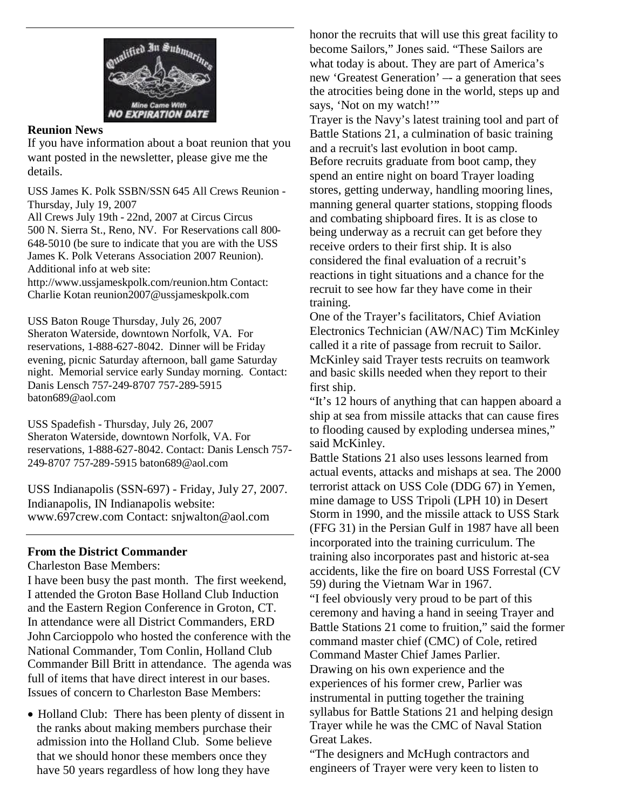

#### **Reunion News**

If you have information about a boat reunion that you want posted in the newsletter, please give me the details.

USS James K. Polk SSBN/SSN 645 All Crews Reunion - Thursday, July 19, 2007

All Crews July 19th - 22nd, 2007 at Circus Circus 500 N. Sierra St., Reno, NV. For Reservations call 800- 648-5010 (be sure to indicate that you are with the USS James K. Polk Veterans Association 2007 Reunion). Additional info at web site:

http://www.ussjameskpolk.com/reunion.htm Contact: Charlie Kotan reunion2007@ussjameskpolk.com

USS Baton Rouge Thursday, July 26, 2007 Sheraton Waterside, downtown Norfolk, VA. For reservations, 1-888-627-8042. Dinner will be Friday evening, picnic Saturday afternoon, ball game Saturday night. Memorial service early Sunday morning. Contact: Danis Lensch 757-249-8707 757-289-5915 baton689@aol.com

USS Spadefish - Thursday, July 26, 2007 Sheraton Waterside, downtown Norfolk, VA. For reservations, 1-888-627-8042. Contact: Danis Lensch 757- 249-8707 757-289-5915 baton689@aol.com

USS Indianapolis (SSN-697) - Friday, July 27, 2007. Indianapolis, IN Indianapolis website: www.697crew.com Contact: snjwalton@aol.com

#### **From the District Commander**

Charleston Base Members:

I have been busy the past month. The first weekend, I attended the Groton Base Holland Club Induction and the Eastern Region Conference in Groton, CT. In attendance were all District Commanders, ERD John Carcioppolo who hosted the conference with the National Commander, Tom Conlin, Holland Club Commander Bill Britt in attendance. The agenda was full of items that have direct interest in our bases. Issues of concern to Charleston Base Members:

• Holland Club: There has been plenty of dissent in the ranks about making members purchase their admission into the Holland Club. Some believe that we should honor these members once they have 50 years regardless of how long they have

honor the recruits that will use this great facility to become Sailors," Jones said. "These Sailors are what today is about. They are part of America's new 'Greatest Generation' –- a generation that sees the atrocities being done in the world, steps up and says, 'Not on my watch!'"

Trayer is the Navy's latest training tool and part of Battle Stations 21, a culmination of basic training and a recruit's last evolution in boot camp. Before recruits graduate from boot camp, they spend an entire night on board Trayer loading stores, getting underway, handling mooring lines, manning general quarter stations, stopping floods and combating shipboard fires. It is as close to being underway as a recruit can get before they receive orders to their first ship. It is also considered the final evaluation of a recruit's reactions in tight situations and a chance for the recruit to see how far they have come in their training.

One of the Trayer's facilitators, Chief Aviation Electronics Technician (AW/NAC) Tim McKinley called it a rite of passage from recruit to Sailor. McKinley said Trayer tests recruits on teamwork and basic skills needed when they report to their first ship.

"It's 12 hours of anything that can happen aboard a ship at sea from missile attacks that can cause fires to flooding caused by exploding undersea mines," said McKinley.

Battle Stations 21 also uses lessons learned from actual events, attacks and mishaps at sea. The 2000 terrorist attack on USS Cole (DDG 67) in Yemen, mine damage to USS Tripoli (LPH 10) in Desert Storm in 1990, and the missile attack to USS Stark (FFG 31) in the Persian Gulf in 1987 have all been incorporated into the training curriculum. The training also incorporates past and historic at-sea accidents, like the fire on board USS Forrestal (CV 59) during the Vietnam War in 1967. "I feel obviously very proud to be part of this

ceremony and having a hand in seeing Trayer and Battle Stations 21 come to fruition," said the former command master chief (CMC) of Cole, retired Command Master Chief James Parlier. Drawing on his own experience and the experiences of his former crew, Parlier was instrumental in putting together the training syllabus for Battle Stations 21 and helping design Trayer while he was the CMC of Naval Station Great Lakes.

"The designers and McHugh contractors and engineers of Trayer were very keen to listen to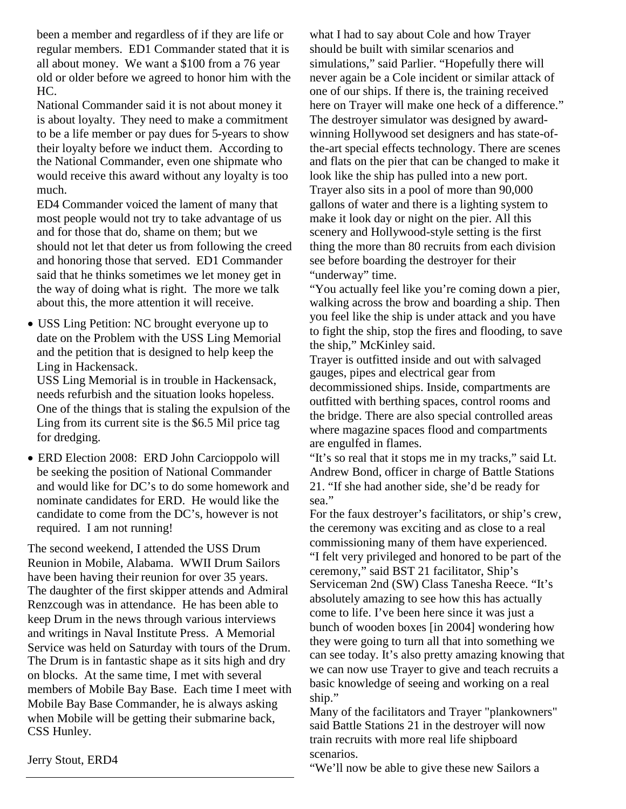been a member and regardless of if they are life or regular members. ED1 Commander stated that it is all about money. We want a \$100 from a 76 year old or older before we agreed to honor him with the HC.

National Commander said it is not about money it is about loyalty. They need to make a commitment to be a life member or pay dues for 5-years to show their loyalty before we induct them. According to the National Commander, even one shipmate who would receive this award without any loyalty is too much.

ED4 Commander voiced the lament of many that most people would not try to take advantage of us and for those that do, shame on them; but we should not let that deter us from following the creed and honoring those that served. ED1 Commander said that he thinks sometimes we let money get in the way of doing what is right. The more we talk about this, the more attention it will receive.

USS Ling Petition: NC brought everyone up to date on the Problem with the USS Ling Memorial and the petition that is designed to help keep the Ling in Hackensack.

USS Ling Memorial is in trouble in Hackensack, needs refurbish and the situation looks hopeless. One of the things that is staling the expulsion of the Ling from its current site is the \$6.5 Mil price tag for dredging.

ERD Election 2008: ERD John Carcioppolo will be seeking the position of National Commander and would like for DC's to do some homework and nominate candidates for ERD. He would like the candidate to come from the DC's, however is not required. I am not running!

The second weekend, I attended the USS Drum Reunion in Mobile, Alabama. WWII Drum Sailors have been having their reunion for over 35 years. The daughter of the first skipper attends and Admiral Renzcough was in attendance. He has been able to keep Drum in the news through various interviews and writings in Naval Institute Press. A Memorial Service was held on Saturday with tours of the Drum. The Drum is in fantastic shape as it sits high and dry on blocks. At the same time, I met with several members of Mobile Bay Base. Each time I meet with Mobile Bay Base Commander, he is always asking when Mobile will be getting their submarine back, CSS Hunley.

what I had to say about Cole and how Trayer should be built with similar scenarios and simulations," said Parlier. "Hopefully there will never again be a Cole incident or similar attack of one of our ships. If there is, the training received here on Trayer will make one heck of a difference." The destroyer simulator was designed by awardwinning Hollywood set designers and has state-ofthe-art special effects technology. There are scenes and flats on the pier that can be changed to make it look like the ship has pulled into a new port. Trayer also sits in a pool of more than 90,000 gallons of water and there is a lighting system to make it look day or night on the pier. All this scenery and Hollywood-style setting is the first thing the more than 80 recruits from each division see before boarding the destroyer for their "underway" time.

"You actually feel like you're coming down a pier, walking across the brow and boarding a ship. Then you feel like the ship is under attack and you have to fight the ship, stop the fires and flooding, to save the ship," McKinley said.

Trayer is outfitted inside and out with salvaged gauges, pipes and electrical gear from decommissioned ships. Inside, compartments are outfitted with berthing spaces, control rooms and the bridge. There are also special controlled areas where magazine spaces flood and compartments are engulfed in flames.

"It's so real that it stops me in my tracks," said Lt. Andrew Bond, officer in charge of Battle Stations 21. "If she had another side, she'd be ready for sea."

For the faux destroyer's facilitators, or ship's crew, the ceremony was exciting and as close to a real commissioning many of them have experienced. "I felt very privileged and honored to be part of the ceremony," said BST 21 facilitator, Ship's Serviceman 2nd (SW) Class Tanesha Reece. "It's absolutely amazing to see how this has actually come to life. I've been here since it was just a bunch of wooden boxes [in 2004] wondering how they were going to turn all that into something we can see today. It's also pretty amazing knowing that we can now use Trayer to give and teach recruits a basic knowledge of seeing and working on a real ship."

Many of the facilitators and Trayer "plankowners" said Battle Stations 21 in the destroyer will now train recruits with more real life shipboard scenarios.

Jerry Stout, ERD4

"We'll now be able to give these new Sailors a